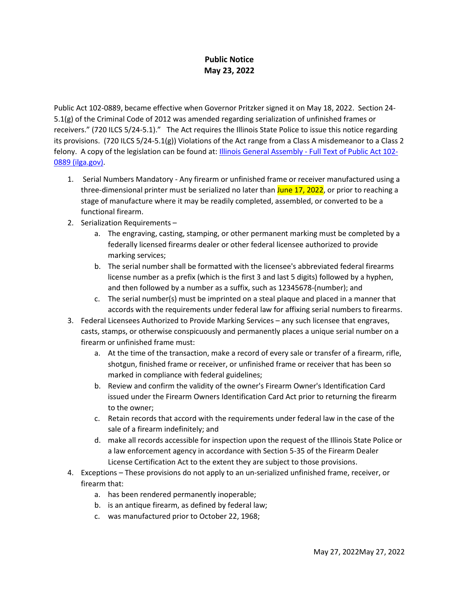## **Public Notice May 23, 2022**

Public Act 102-0889, became effective when Governor Pritzker signed it on May 18, 2022. Section 24- 5.1(g) of the Criminal Code of 2012 was amended regarding serialization of unfinished frames or receivers." (720 ILCS 5/24-5.1)." The Act requires the Illinois State Police to issue this notice regarding its provisions. (720 ILCS 5/24-5.1(g)) Violations of the Act range from a Class A misdemeanor to a Class 2 felony. A copy of the legislation can be found at: *Illinois General Assembly - Full Text of Public Act 102-*[0889 \(ilga.gov\).](https://www.ilga.gov/legislation/publicacts/fulltext.asp?Name=102-0889)

- 1. Serial Numbers Mandatory Any firearm or unfinished frame or receiver manufactured using a three-dimensional printer must be serialized no later than June 17, 2022, or prior to reaching a stage of manufacture where it may be readily completed, assembled, or converted to be a functional firearm.
- 2. Serialization Requirements
	- a. The engraving, casting, stamping, or other permanent marking must be completed by a federally licensed firearms dealer or other federal licensee authorized to provide marking services;
	- b. The serial number shall be formatted with the licensee's abbreviated federal firearms license number as a prefix (which is the first 3 and last 5 digits) followed by a hyphen, and then followed by a number as a suffix, such as 12345678-(number); and
	- c. The serial number(s) must be imprinted on a steal plaque and placed in a manner that accords with the requirements under federal law for affixing serial numbers to firearms.
- 3. Federal Licensees Authorized to Provide Marking Services any such licensee that engraves, casts, stamps, or otherwise conspicuously and permanently places a unique serial number on a firearm or unfinished frame must:
	- a. At the time of the transaction, make a record of every sale or transfer of a firearm, rifle, shotgun, finished frame or receiver, or unfinished frame or receiver that has been so marked in compliance with federal guidelines;
	- b. Review and confirm the validity of the owner's Firearm Owner's Identification Card issued under the Firearm Owners Identification Card Act prior to returning the firearm to the owner;
	- c. Retain records that accord with the requirements under federal law in the case of the sale of a firearm indefinitely; and
	- d. make all records accessible for inspection upon the request of the Illinois State Police or a law enforcement agency in accordance with Section 5-35 of the Firearm Dealer License Certification Act to the extent they are subject to those provisions.
- 4. Exceptions These provisions do not apply to an un-serialized unfinished frame, receiver, or firearm that:
	- a. has been rendered permanently inoperable;
	- b. is an antique firearm, as defined by federal law;
	- c. was manufactured prior to October 22, 1968;